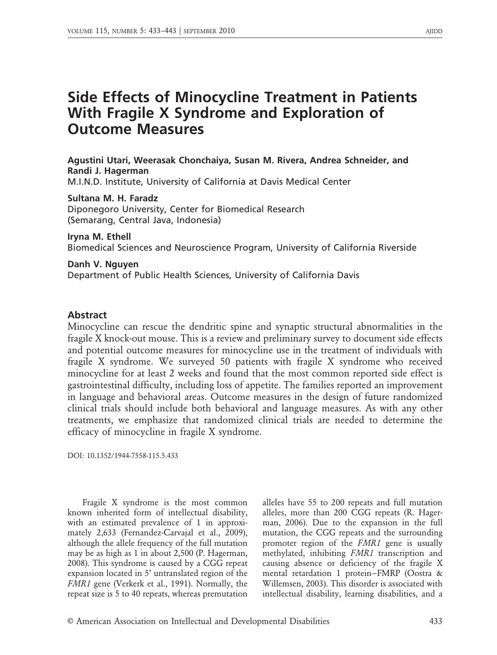# Side Effects of Minocycline Treatment in Patients With Fragile X Syndrome and Exploration of Outcome Measures

Agustini Utari, Weerasak Chonchaiya, Susan M. Rivera, Andrea Schneider, and Randi J. Hagerman

M.I.N.D. Institute, University of California at Davis Medical Center

Sultana M. H. Faradz Diponegoro University, Center for Biomedical Research (Semarang, Central Java, Indonesia)

Iryna M. Ethell Biomedical Sciences and Neuroscience Program, University of California Riverside

## Danh V. Nguyen

Department of Public Health Sciences, University of California Davis

## Abstract

Minocycline can rescue the dendritic spine and synaptic structural abnormalities in the fragile X knock-out mouse. This is a review and preliminary survey to document side effects and potential outcome measures for minocycline use in the treatment of individuals with fragile X syndrome. We surveyed 50 patients with fragile X syndrome who received minocycline for at least 2 weeks and found that the most common reported side effect is gastrointestinal difficulty, including loss of appetite. The families reported an improvement in language and behavioral areas. Outcome measures in the design of future randomized clinical trials should include both behavioral and language measures. As with any other treatments, we emphasize that randomized clinical trials are needed to determine the efficacy of minocycline in fragile X syndrome.

DOI: 10.1352/1944-7558-115.5.433

Fragile X syndrome is the most common known inherited form of intellectual disability, with an estimated prevalence of 1 in approximately 2,633 (Fernandez-Carvajal et al., 2009), although the allele frequency of the full mutation may be as high as 1 in about 2,500 (P. Hagerman, 2008). This syndrome is caused by a CGG repeat expansion located in 5' untranslated region of the FMR1 gene (Verkerk et al., 1991). Normally, the repeat size is 5 to 40 repeats, whereas premutation alleles have 55 to 200 repeats and full mutation alleles, more than 200 CGG repeats (R. Hagerman, 2006). Due to the expansion in the full mutation, the CGG repeats and the surrounding promoter region of the *FMR1* gene is usually methylated, inhibiting FMR1 transcription and causing absence or deficiency of the fragile X mental retardation 1 protein—FMRP (Oostra & Willemsen, 2003). This disorder is associated with intellectual disability, learning disabilities, and a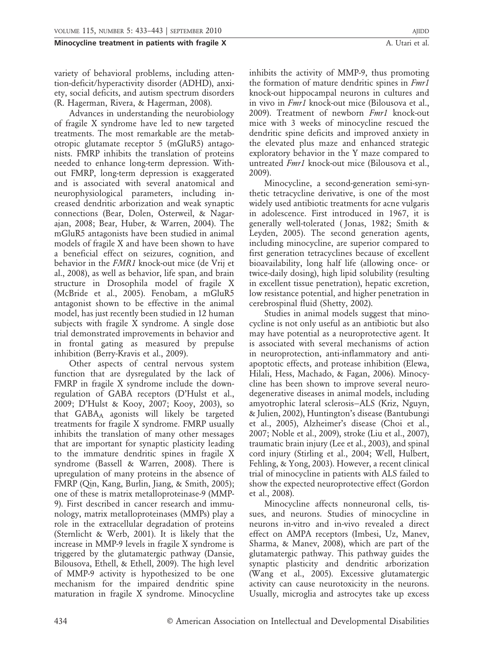variety of behavioral problems, including attention-deficit/hyperactivity disorder (ADHD), anxiety, social deficits, and autism spectrum disorders (R. Hagerman, Rivera, & Hagerman, 2008).

Advances in understanding the neurobiology of fragile X syndrome have led to new targeted treatments. The most remarkable are the metabotropic glutamate receptor 5 (mGluR5) antagonists. FMRP inhibits the translation of proteins needed to enhance long-term depression. Without FMRP, long-term depression is exaggerated and is associated with several anatomical and neurophysiological parameters, including increased dendritic arborization and weak synaptic connections (Bear, Dolen, Osterweil, & Nagarajan, 2008; Bear, Huber, & Warren, 2004). The mGluR5 antagonists have been studied in animal models of fragile X and have been shown to have a beneficial effect on seizures, cognition, and behavior in the FMR1 knock-out mice (de Vrij et al., 2008), as well as behavior, life span, and brain structure in Drosophila model of fragile X (McBride et al., 2005). Fenobam, a mGluR5 antagonist shown to be effective in the animal model, has just recently been studied in 12 human subjects with fragile X syndrome. A single dose trial demonstrated improvements in behavior and in frontal gating as measured by prepulse inhibition (Berry-Kravis et al., 2009).

Other aspects of central nervous system function that are dysregulated by the lack of FMRP in fragile X syndrome include the downregulation of GABA receptors (D'Hulst et al., 2009; D'Hulst & Kooy, 2007; Kooy, 2003), so that  $GABA_A$  agonists will likely be targeted treatments for fragile X syndrome. FMRP usually inhibits the translation of many other messages that are important for synaptic plasticity leading to the immature dendritic spines in fragile X syndrome (Bassell & Warren, 2008). There is upregulation of many proteins in the absence of FMRP (Qin, Kang, Burlin, Jiang, & Smith, 2005); one of these is matrix metalloproteinase-9 (MMP-9). First described in cancer research and immunology, matrix metalloproteinases (MMPs) play a role in the extracellular degradation of proteins (Sternlicht & Werb, 2001). It is likely that the increase in MMP-9 levels in fragile X syndrome is triggered by the glutamatergic pathway (Dansie, Bilousova, Ethell, & Ethell, 2009). The high level of MMP-9 activity is hypothesized to be one mechanism for the impaired dendritic spine maturation in fragile X syndrome. Minocycline

inhibits the activity of MMP-9, thus promoting the formation of mature dendritic spines in *Fmr1* knock-out hippocampal neurons in cultures and in vivo in Fmr1 knock-out mice (Bilousova et al., 2009). Treatment of newborn *Fmr1* knock-out mice with 3 weeks of minocycline rescued the dendritic spine deficits and improved anxiety in the elevated plus maze and enhanced strategic exploratory behavior in the Y maze compared to untreated Fmr1 knock-out mice (Bilousova et al., 2009).

Minocycline, a second-generation semi-synthetic tetracycline derivative, is one of the most widely used antibiotic treatments for acne vulgaris in adolescence. First introduced in 1967, it is generally well-tolerated ( Jonas, 1982; Smith & Leyden, 2005). The second generation agents, including minocycline, are superior compared to first generation tetracyclines because of excellent bioavailability, long half life (allowing once- or twice-daily dosing), high lipid solubility (resulting in excellent tissue penetration), hepatic excretion, low resistance potential, and higher penetration in cerebrospinal fluid (Shetty, 2002).

Studies in animal models suggest that minocycline is not only useful as an antibiotic but also may have potential as a neuroprotective agent. It is associated with several mechanisms of action in neuroprotection, anti-inflammatory and antiapoptotic effects, and protease inhibition (Elewa, Hilali, Hess, Machado, & Fagan, 2006). Minocycline has been shown to improve several neurodegenerative diseases in animal models, including amyotrophic lateral sclerosis—ALS (Kriz, Nguyn, & Julien, 2002), Huntington's disease (Bantubungi et al., 2005), Alzheimer's disease (Choi et al., 2007; Noble et al., 2009), stroke (Liu et al., 2007), traumatic brain injury (Lee et al., 2003), and spinal cord injury (Stirling et al., 2004; Well, Hulbert, Fehling, & Yong, 2003). However, a recent clinical trial of minocycline in patients with ALS failed to show the expected neuroprotective effect (Gordon et al., 2008).

Minocycline affects nonneuronal cells, tissues, and neurons. Studies of minocycline in neurons in-vitro and in-vivo revealed a direct effect on AMPA receptors (Imbesi, Uz, Manev, Sharma, & Manev, 2008), which are part of the glutamatergic pathway. This pathway guides the synaptic plasticity and dendritic arborization (Wang et al., 2005). Excessive glutamatergic activity can cause neurotoxicity in the neurons. Usually, microglia and astrocytes take up excess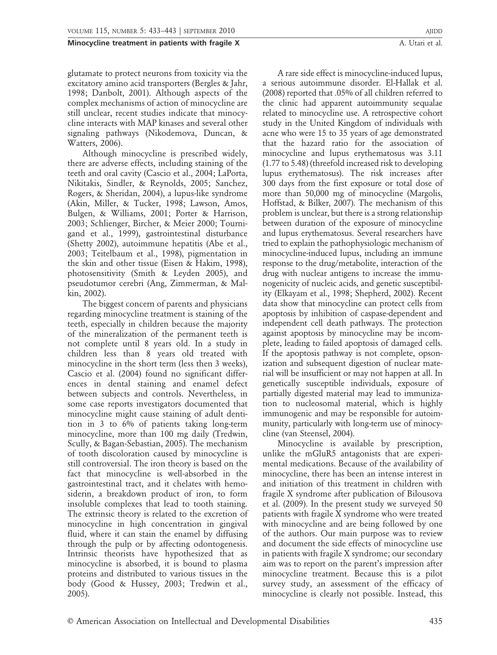#### **Minocycline treatment in patients with fragile X** and the state of the state of the M. Utari et al.

glutamate to protect neurons from toxicity via the excitatory amino acid transporters (Bergles & Jahr, 1998; Danbolt, 2001). Although aspects of the complex mechanisms of action of minocycline are still unclear, recent studies indicate that minocycline interacts with MAP kinases and several other signaling pathways (Nikodemova, Duncan, & Watters, 2006).

Although minocycline is prescribed widely, there are adverse effects, including staining of the teeth and oral cavity (Cascio et al., 2004; LaPorta, Nikitakis, Sindler, & Reynolds, 2005; Sanchez, Rogers, & Sheridan, 2004), a lupus-like syndrome (Akin, Miller, & Tucker, 1998; Lawson, Amos, Bulgen, & Williams, 2001; Porter & Harrison, 2003; Schlienger, Bircher, & Meier 2000; Tournigand et al., 1999), gastrointestinal disturbance (Shetty 2002), autoimmune hepatitis (Abe et al., 2003; Teitelbaum et al., 1998), pigmentation in the skin and other tissue (Eisen & Hakim, 1998), photosensitivity (Smith & Leyden 2005), and pseudotumor cerebri (Ang, Zimmerman, & Malkin, 2002).

The biggest concern of parents and physicians regarding minocycline treatment is staining of the teeth, especially in children because the majority of the mineralization of the permanent teeth is not complete until 8 years old. In a study in children less than 8 years old treated with minocycline in the short term (less then 3 weeks), Cascio et al. (2004) found no significant differences in dental staining and enamel defect between subjects and controls. Nevertheless, in some case reports investigators documented that minocycline might cause staining of adult dentition in 3 to 6% of patients taking long-term minocycline, more than 100 mg daily (Tredwin, Scully, & Bagan-Sebastian, 2005). The mechanism of tooth discoloration caused by minocycline is still controversial. The iron theory is based on the fact that minocycline is well-absorbed in the gastrointestinal tract, and it chelates with hemosiderin, a breakdown product of iron, to form insoluble complexes that lead to tooth staining. The extrinsic theory is related to the excretion of minocycline in high concentration in gingival fluid, where it can stain the enamel by diffusing through the pulp or by affecting odontogenesis. Intrinsic theorists have hypothesized that as minocycline is absorbed, it is bound to plasma proteins and distributed to various tissues in the body (Good & Hussey, 2003; Tredwin et al., 2005).

A rare side effect is minocycline-induced lupus, a serious autoimmune disorder. El-Hallak et al. (2008) reported that .05% of all children referred to the clinic had apparent autoimmunity sequalae related to minocycline use. A retrospective cohort study in the United Kingdom of individuals with acne who were 15 to 35 years of age demonstrated that the hazard ratio for the association of minocycline and lupus erythematosus was 3.11 (1.77 to 5.48) (threefold increased risk to developing lupus erythematosus). The risk increases after 300 days from the first exposure or total dose of more than 50,000 mg of minocycline (Margolis, Hoffstad, & Bilker, 2007). The mechanism of this problem is unclear, but there is a strong relationship between duration of the exposure of minocycline and lupus erythematosus. Several researchers have tried to explain the pathophysiologic mechanism of minocycline-induced lupus, including an immune response to the drug/metabolite, interaction of the drug with nuclear antigens to increase the immunogenicity of nucleic acids, and genetic susceptibility (Elkayam et al., 1998; Shepherd, 2002). Recent data show that minocycline can protect cells from apoptosis by inhibition of caspase-dependent and independent cell death pathways. The protection against apoptosis by minocycline may be incomplete, leading to failed apoptosis of damaged cells. If the apoptosis pathway is not complete, opsonization and subsequent digestion of nuclear material will be insufficient or may not happen at all. In genetically susceptible individuals, exposure of partially digested material may lead to immunization to nucleosomal material, which is highly immunogenic and may be responsible for autoimmunity, particularly with long-term use of minocycline (van Steensel, 2004).

Minocycline is available by prescription, unlike the mGluR5 antagonists that are experimental medications. Because of the availability of minocycline, there has been an intense interest in and initiation of this treatment in children with fragile X syndrome after publication of Bilousova et al. (2009). In the present study we surveyed 50 patients with fragile X syndrome who were treated with minocycline and are being followed by one of the authors. Our main purpose was to review and document the side effects of minocycline use in patients with fragile X syndrome; our secondary aim was to report on the parent's impression after minocycline treatment. Because this is a pilot survey study, an assessment of the efficacy of minocycline is clearly not possible. Instead, this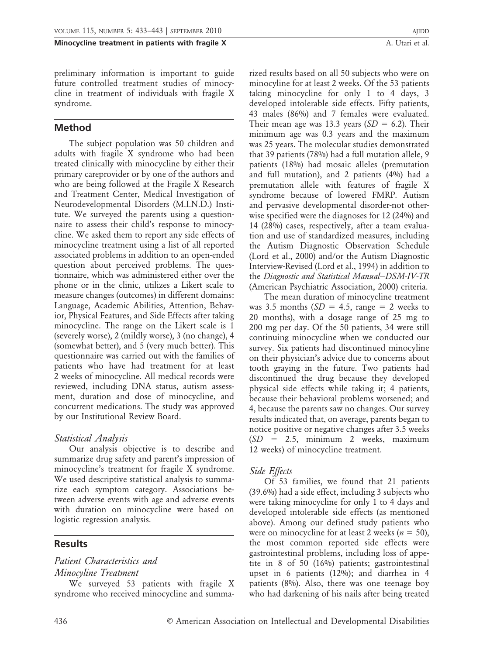#### **Minocycline treatment in patients with fragile X** and the second value of the M. Utari et al.

preliminary information is important to guide future controlled treatment studies of minocycline in treatment of individuals with fragile X syndrome.

# Method

The subject population was 50 children and adults with fragile X syndrome who had been treated clinically with minocycline by either their primary careprovider or by one of the authors and who are being followed at the Fragile X Research and Treatment Center, Medical Investigation of Neurodevelopmental Disorders (M.I.N.D.) Institute. We surveyed the parents using a questionnaire to assess their child's response to minocycline. We asked them to report any side effects of minocycline treatment using a list of all reported associated problems in addition to an open-ended question about perceived problems. The questionnaire, which was administered either over the phone or in the clinic, utilizes a Likert scale to measure changes (outcomes) in different domains: Language, Academic Abilities, Attention, Behavior, Physical Features, and Side Effects after taking minocycline. The range on the Likert scale is 1 (severely worse), 2 (mildly worse), 3 (no change), 4 (somewhat better), and 5 (very much better). This questionnaire was carried out with the families of patients who have had treatment for at least 2 weeks of minocycline. All medical records were reviewed, including DNA status, autism assessment, duration and dose of minocycline, and concurrent medications. The study was approved by our Institutional Review Board.

## Statistical Analysis

Our analysis objective is to describe and summarize drug safety and parent's impression of minocycline's treatment for fragile X syndrome. We used descriptive statistical analysis to summarize each symptom category. Associations between adverse events with age and adverse events with duration on minocycline were based on logistic regression analysis.

## Results

## Patient Characteristics and Minocyline Treatment

We surveyed 53 patients with fragile X syndrome who received minocycline and summarized results based on all 50 subjects who were on minocyline for at least 2 weeks. Of the 53 patients taking minocycline for only 1 to 4 days, 3 developed intolerable side effects. Fifty patients, 43 males (86%) and 7 females were evaluated. Their mean age was 13.3 years  $(SD = 6.2)$ . Their minimum age was 0.3 years and the maximum was 25 years. The molecular studies demonstrated that 39 patients (78%) had a full mutation allele, 9 patients (18%) had mosaic alleles (premutation and full mutation), and 2 patients (4%) had a premutation allele with features of fragile X syndrome because of lowered FMRP. Autism and pervasive developmental disorder-not otherwise specified were the diagnoses for 12 (24%) and 14 (28%) cases, respectively, after a team evaluation and use of standardized measures, including the Autism Diagnostic Observation Schedule (Lord et al., 2000) and/or the Autism Diagnostic Interview-Revised (Lord et al., 1994) in addition to the Diagnostic and Statistical Manual—DSM-IV-TR (American Psychiatric Association, 2000) criteria.

The mean duration of minocycline treatment was 3.5 months  $SD = 4.5$ , range = 2 weeks to 20 months), with a dosage range of 25 mg to 200 mg per day. Of the 50 patients, 34 were still continuing minocycline when we conducted our survey. Six patients had discontinued minocyline on their physician's advice due to concerns about tooth graying in the future. Two patients had discontinued the drug because they developed physical side effects while taking it; 4 patients, because their behavioral problems worsened; and 4, because the parents saw no changes. Our survey results indicated that, on average, parents began to notice positive or negative changes after 3.5 weeks  $(SD = 2.5,$  minimum 2 weeks, maximum 12 weeks) of minocycline treatment.

# Side Effects

Of 53 families, we found that 21 patients (39.6%) had a side effect, including 3 subjects who were taking minocycline for only 1 to 4 days and developed intolerable side effects (as mentioned above). Among our defined study patients who were on minocycline for at least 2 weeks ( $n = 50$ ), the most common reported side effects were gastrointestinal problems, including loss of appetite in 8 of 50 (16%) patients; gastrointestinal upset in 6 patients (12%); and diarrhea in 4 patients (8%). Also, there was one teenage boy who had darkening of his nails after being treated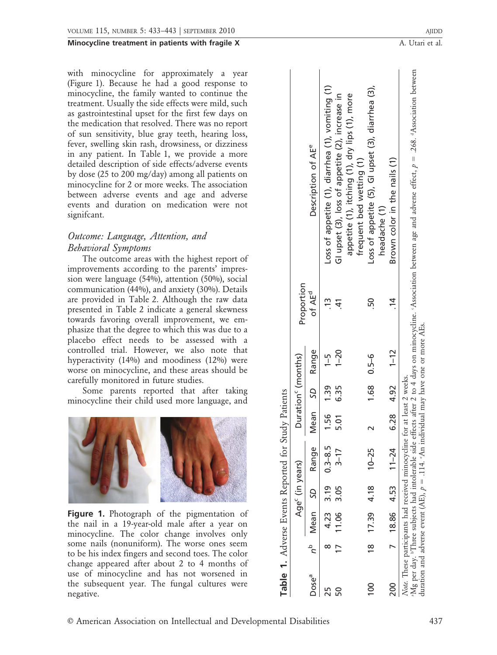#### **Minocycline treatment in patients with fragile X** A. Utari et al.

with minocycline for approximately a year (Figure 1). Because he had a good response to minocycline, the family wanted to continue the treatment. Usually the side effects were mild, such as gastrointestinal upset for the first few days on the medication that resolved. There was no report of sun sensitivity, blue gray teeth, hearing loss, fever, swelling skin rash, drowsiness, or dizziness in any patient. In Table 1, we provide a more detailed description of side effects/adverse events by dose (25 to 200 mg/day) among all patients on minocycline for 2 or more weeks. The association between adverse events and age and adverse events and duration on medication were not signifcant.

# Outcome: Language, Attention, and Behavioral Symptoms

The outcome areas with the highest report of improvements according to the parents' impression were language (54%), attention (50%), social communication (44%), and anxiety (30%). Details are provided in Table 2. Although the raw data presented in Table 2 indicate a general skewness towards favoring overall improvement, we emphasize that the degree to which this was due to a placebo effect needs to be assessed with a controlled trial. However, we also note that hyperactivity (14%) and moodiness (12%) were worse on minocycline, and these areas should be carefully monitored in future studies.

Some parents reported that after taking minocycline their child used more language, and



Figure 1. Photograph of the pigmentation of the nail in a 19-year-old male after a year on minocycline. The color change involves only some nails (nonuniform). The worse ones seem to be his index fingers and second toes. The color change appeared after about 2 to 4 months of use of minocycline and has not worsened in the subsequent year. The fungal cultures were negative.

|                   |        |               |                             | Table 1. Adverse Events Reported for Study Patients                     |                                |                                                                                       |                    |                                                                                                                                                                           |
|-------------------|--------|---------------|-----------------------------|-------------------------------------------------------------------------|--------------------------------|---------------------------------------------------------------------------------------|--------------------|---------------------------------------------------------------------------------------------------------------------------------------------------------------------------|
|                   |        |               | Age <sup>c</sup> (in years) |                                                                         | Duration <sup>c</sup> (months) |                                                                                       | Proportion         |                                                                                                                                                                           |
| Dose <sup>a</sup> | م<br>م | Mean SD       |                             | Range                                                                   | Mean SD Range                  |                                                                                       | of AE <sup>d</sup> | Description of AE°                                                                                                                                                        |
| 25                |        |               |                             | $4.23$ $3.19$ $0.3-8.5$                                                 | 1.56 1.39                      | $1 - 5$                                                                               | $\frac{3}{2}$      | Loss of appetite (1), diarrhea (1), vomiting (1)                                                                                                                          |
| 50                |        | 17 11.06 3.05 |                             | $3 - 17$                                                                | 5.01 6.35                      | $1 - 20$                                                                              | $\vec{r}$          | GI upset (3), loss of appetite (2), increase in                                                                                                                           |
|                   |        |               |                             |                                                                         |                                |                                                                                       |                    | appetite (1), itching (1), dry lips (1), more<br>frequent bed wetting (1)                                                                                                 |
| $\frac{8}{100}$   |        | 18 17.39 4.18 |                             | $10 - 25$                                                               |                                | $1.68$ 0.5-6                                                                          | SQ                 | Loss of appetite (5), GI upset (3), diarrhea (3),                                                                                                                         |
|                   |        |               |                             |                                                                         |                                |                                                                                       |                    | headache (1)                                                                                                                                                              |
| 200               |        |               |                             | $7$ 18.86 4.53 11-24                                                    |                                | $6.28$ $4.92$ $1-12$                                                                  | $\overline{4}$     | Brown color in the nails (1)                                                                                                                                              |
|                   |        |               |                             | Note. These participants had received minocycline for at least 2 weeks. |                                | duration and adverse event (AE), $p = .114$ . An individual may have one or more AEs. |                    | Mg per day. "Three subjects had intolerable side effects after 2 to 4 days on minocycline. 'Association between age and adverse effect, $p = .268$ . "Association between |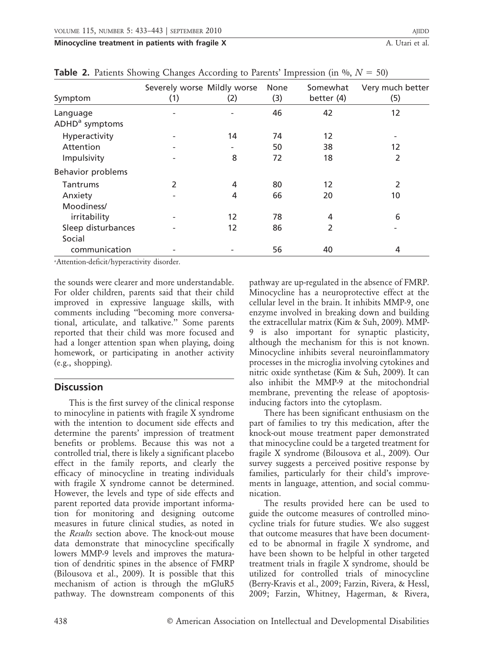#### **Minocycline treatment in patients with fragile X** and the second value of the M. Utari et al.

|                            | Severely worse Mildly worse |     | None | Somewhat   | Very much better |
|----------------------------|-----------------------------|-----|------|------------|------------------|
| Symptom                    | (1)                         | (2) | (3)  | better (4) | (5)              |
| Language                   |                             |     | 46   | 42         | 12               |
| ADHD <sup>a</sup> symptoms |                             |     |      |            |                  |
| Hyperactivity              |                             | 14  | 74   | 12         |                  |
| Attention                  |                             |     | 50   | 38         | 12               |
| Impulsivity                |                             | 8   | 72   | 18         | 2                |
| <b>Behavior problems</b>   |                             |     |      |            |                  |
| Tantrums                   | 2                           | 4   | 80   | 12         | 2                |
| Anxiety                    |                             | 4   | 66   | 20         | 10               |
| Moodiness/                 |                             |     |      |            |                  |
| irritability               |                             | 12  | 78   | 4          | 6                |
| Sleep disturbances         |                             | 12  | 86   | 2          |                  |
| Social                     |                             |     |      |            |                  |
| communication              |                             |     | 56   | 40         | 4                |

**Table 2.** Patients Showing Changes According to Parents' Impression (in  $\% N = 50$ )

a Attention-deficit/hyperactivity disorder.

the sounds were clearer and more understandable. For older children, parents said that their child improved in expressive language skills, with comments including ''becoming more conversational, articulate, and talkative.'' Some parents reported that their child was more focused and had a longer attention span when playing, doing homework, or participating in another activity (e.g., shopping).

# **Discussion**

This is the first survey of the clinical response to minocyline in patients with fragile X syndrome with the intention to document side effects and determine the parents' impression of treatment benefits or problems. Because this was not a controlled trial, there is likely a significant placebo effect in the family reports, and clearly the efficacy of minocycline in treating individuals with fragile X syndrome cannot be determined. However, the levels and type of side effects and parent reported data provide important information for monitoring and designing outcome measures in future clinical studies, as noted in the Results section above. The knock-out mouse data demonstrate that minocycline specifically lowers MMP-9 levels and improves the maturation of dendritic spines in the absence of FMRP (Bilousova et al., 2009). It is possible that this mechanism of action is through the mGluR5 pathway. The downstream components of this

pathway are up-regulated in the absence of FMRP. Minocycline has a neuroprotective effect at the cellular level in the brain. It inhibits MMP-9, one enzyme involved in breaking down and building the extracellular matrix (Kim & Suh, 2009). MMP-9 is also important for synaptic plasticity, although the mechanism for this is not known. Minocycline inhibits several neuroinflammatory processes in the microglia involving cytokines and nitric oxide synthetase (Kim & Suh, 2009). It can also inhibit the MMP-9 at the mitochondrial membrane, preventing the release of apoptosisinducing factors into the cytoplasm.

There has been significant enthusiasm on the part of families to try this medication, after the knock-out mouse treatment paper demonstrated that minocycline could be a targeted treatment for fragile X syndrome (Bilousova et al., 2009). Our survey suggests a perceived positive response by families, particularly for their child's improvements in language, attention, and social communication.

The results provided here can be used to guide the outcome measures of controlled minocycline trials for future studies. We also suggest that outcome measures that have been documented to be abnormal in fragile X syndrome, and have been shown to be helpful in other targeted treatment trials in fragile X syndrome, should be utilized for controlled trials of minocycline (Berry-Kravis et al., 2009; Farzin, Rivera, & Hessl, 2009; Farzin, Whitney, Hagerman, & Rivera,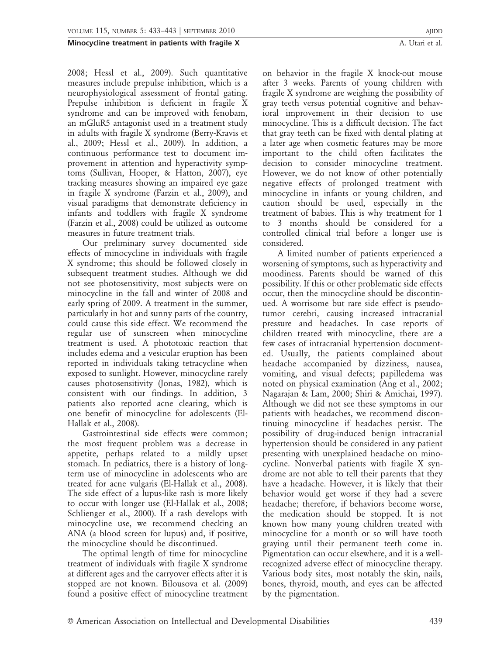2008; Hessl et al., 2009). Such quantitative measures include prepulse inhibition, which is a neurophysiological assessment of frontal gating. Prepulse inhibition is deficient in fragile X syndrome and can be improved with fenobam, an mGluR5 antagonist used in a treatment study in adults with fragile X syndrome (Berry-Kravis et al., 2009; Hessl et al., 2009). In addition, a continuous performance test to document improvement in attention and hyperactivity symptoms (Sullivan, Hooper, & Hatton, 2007), eye tracking measures showing an impaired eye gaze in fragile X syndrome (Farzin et al., 2009), and visual paradigms that demonstrate deficiency in infants and toddlers with fragile X syndrome (Farzin et al., 2008) could be utilized as outcome measures in future treatment trials.

Our preliminary survey documented side effects of minocycline in individuals with fragile X syndrome; this should be followed closely in subsequent treatment studies. Although we did not see photosensitivity, most subjects were on minocycline in the fall and winter of 2008 and early spring of 2009. A treatment in the summer, particularly in hot and sunny parts of the country, could cause this side effect. We recommend the regular use of sunscreen when minocycline treatment is used. A phototoxic reaction that includes edema and a vesicular eruption has been reported in individuals taking tetracycline when exposed to sunlight. However, minocycline rarely causes photosensitivity (Jonas, 1982), which is consistent with our findings. In addition, 3 patients also reported acne clearing, which is one benefit of minocycline for adolescents (El-Hallak et al., 2008).

Gastrointestinal side effects were common; the most frequent problem was a decrease in appetite, perhaps related to a mildly upset stomach. In pediatrics, there is a history of longterm use of minocycline in adolescents who are treated for acne vulgaris (El-Hallak et al., 2008). The side effect of a lupus-like rash is more likely to occur with longer use (El-Hallak et al., 2008; Schlienger et al., 2000). If a rash develops with minocycline use, we recommend checking an ANA (a blood screen for lupus) and, if positive, the minocycline should be discontinued.

The optimal length of time for minocycline treatment of individuals with fragile X syndrome at different ages and the carryover effects after it is stopped are not known. Bilousova et al. (2009) found a positive effect of minocycline treatment on behavior in the fragile X knock-out mouse after 3 weeks. Parents of young children with fragile X syndrome are weighing the possibility of gray teeth versus potential cognitive and behavioral improvement in their decision to use minocycline. This is a difficult decision. The fact that gray teeth can be fixed with dental plating at a later age when cosmetic features may be more important to the child often facilitates the decision to consider minocycline treatment. However, we do not know of other potentially negative effects of prolonged treatment with minocycline in infants or young children, and caution should be used, especially in the treatment of babies. This is why treatment for 1 to 3 months should be considered for a controlled clinical trial before a longer use is considered.

A limited number of patients experienced a worsening of symptoms, such as hyperactivity and moodiness. Parents should be warned of this possibility. If this or other problematic side effects occur, then the minocycline should be discontinued. A worrisome but rare side effect is pseudotumor cerebri, causing increased intracranial pressure and headaches. In case reports of children treated with minocycline, there are a few cases of intracranial hypertension documented. Usually, the patients complained about headache accompanied by dizziness, nausea, vomiting, and visual defects; papilledema was noted on physical examination (Ang et al., 2002; Nagarajan & Lam, 2000; Shiri & Amichai, 1997). Although we did not see these symptoms in our patients with headaches, we recommend discontinuing minocycline if headaches persist. The possibility of drug-induced benign intracranial hypertension should be considered in any patient presenting with unexplained headache on minocycline. Nonverbal patients with fragile X syndrome are not able to tell their parents that they have a headache. However, it is likely that their behavior would get worse if they had a severe headache; therefore, if behaviors become worse, the medication should be stopped. It is not known how many young children treated with minocycline for a month or so will have tooth graying until their permanent teeth come in. Pigmentation can occur elsewhere, and it is a wellrecognized adverse effect of minocycline therapy. Various body sites, most notably the skin, nails, bones, thyroid, mouth, and eyes can be affected by the pigmentation.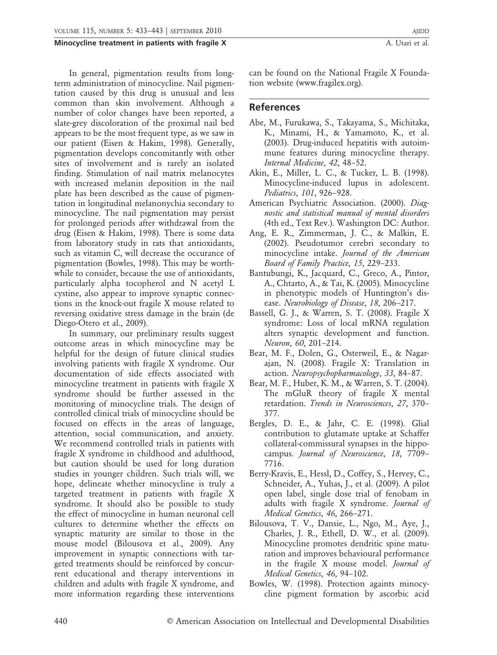#### **Minocycline treatment in patients with fragile X** and the second test of al. Utari et al.

In general, pigmentation results from longterm administration of minocycline. Nail pigmentation caused by this drug is unusual and less common than skin involvement. Although a number of color changes have been reported, a slate-grey discoloration of the proximal nail bed appears to be the most frequent type, as we saw in our patient (Eisen & Hakim, 1998). Generally, pigmentation develops concomitantly with other sites of involvement and is rarely an isolated finding. Stimulation of nail matrix melanocytes with increased melanin deposition in the nail plate has been described as the cause of pigmentation in longitudinal melanonychia secondary to minocycline. The nail pigmentation may persist for prolonged periods after withdrawal from the drug (Eisen & Hakim, 1998). There is some data from laboratory study in rats that antioxidants, such as vitamin C, will decrease the occurance of pigmentation (Bowles, 1998). This may be worthwhile to consider, because the use of antioxidants, particularly alpha tocopherol and N acetyl L cystine, also appear to improve synaptic connections in the knock-out fragile X mouse related to reversing oxidative stress damage in the brain (de Diego-Otero et al., 2009).

In summary, our preliminary results suggest outcome areas in which minocycline may be helpful for the design of future clinical studies involving patients with fragile X syndrome. Our documentation of side effects associated with minocycline treatment in patients with fragile X syndrome should be further assessed in the monitoring of minocycline trials. The design of controlled clinical trials of minocycline should be focused on effects in the areas of language, attention, social communication, and anxiety. We recommend controlled trials in patients with fragile X syndrome in childhood and adulthood, but caution should be used for long duration studies in younger children. Such trials will, we hope, delineate whether minocycline is truly a targeted treatment in patients with fragile X syndrome. It should also be possible to study the effect of minocycline in human neuronal cell cultures to determine whether the effects on synaptic maturity are similar to those in the mouse model (Bilousova et al., 2009). Any improvement in synaptic connections with targeted treatments should be reinforced by concurrent educational and therapy interventions in children and adults with fragile X syndrome, and more information regarding these interventions

can be found on the National Fragile X Foundation website (www.fragilex.org).

## References

- Abe, M., Furukawa, S., Takayama, S., Michitaka, K., Minami, H., & Yamamoto, K., et al. (2003). Drug-induced hepatitis with autoimmune features during minocycline therapy. Internal Medicine, 42, 48–52.
- Akin, E., Miller, L. C., & Tucker, L. B. (1998). Minocycline-induced lupus in adolescent. Pediatrics, 101, 926–928.
- American Psychiatric Association. (2000). Diagnostic and statistical manual of mental disorders (4th ed., Text Rev.). Washington DC: Author.
- Ang, E. R., Zimmerman, J. C., & Malkin, E. (2002). Pseudotumor cerebri secondary to minocycline intake. Journal of the American Board of Family Practice, 15, 229–233.
- Bantubungi, K., Jacquard, C., Greco, A., Pintor, A., Chtarto, A., & Tai, K. (2005). Minocycline in phenotypic models of Huntington's disease. Neurobiology of Disease, 18, 206–217.
- Bassell, G. J., & Warren, S. T. (2008). Fragile X syndrome: Loss of local mRNA regulation alters synaptic development and function. Neuron, 60, 201–214.
- Bear, M. F., Dolen, G., Osterweil, E., & Nagarajan, N. (2008). Fragile X: Translation in action. Neuropsychopharmacology, 33, 84–87.
- Bear, M. F., Huber, K. M., & Warren, S. T. (2004). The mGluR theory of fragile X mental retardation. Trends in Neurosciences, 27, 370– 377.
- Bergles, D. E., & Jahr, C. E. (1998). Glial contribution to glutamate uptake at Schaffer collateral-commissural synapses in the hippocampus. Journal of Neuroscience, 18, 7709-7716.
- Berry-Kravis, E., Hessl, D., Coffey, S., Hervey, C., Schneider, A., Yuhas, J., et al. (2009). A pilot open label, single dose trial of fenobam in adults with fragile X syndrome. Journal of Medical Genetics, 46, 266–271.
- Bilousova, T. V., Dansie, L., Ngo, M., Aye, J., Charles, J. R., Ethell, D. W., et al. (2009). Minocycline promotes dendritic spine maturation and improves behavioural performance in the fragile X mouse model. Journal of Medical Genetics, 46, 94–102.
- Bowles, W. (1998). Protection againts minocycline pigment formation by ascorbic acid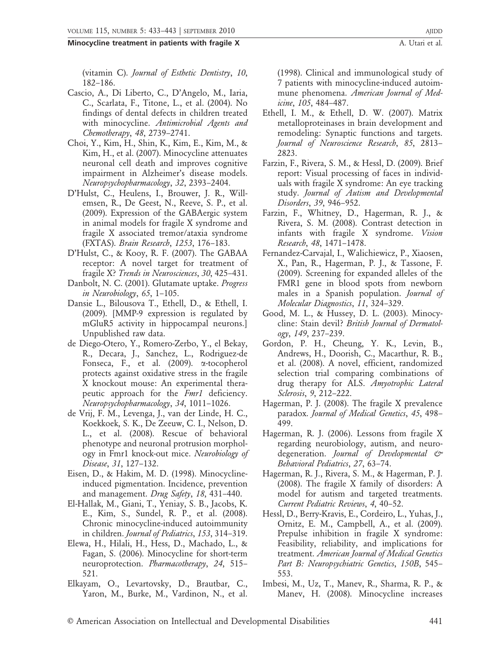#### **Minocycline treatment in patients with fragile X** A. Utari et al.

(vitamin C). Journal of Esthetic Dentistry, 10, 182–186.

- Cascio, A., Di Liberto, C., D'Angelo, M., Iaria, C., Scarlata, F., Titone, L., et al. (2004). No findings of dental defects in children treated with minocycline. Antimicrobial Agents and Chemotherapy, 48, 2739–2741.
- Choi, Y., Kim, H., Shin, K., Kim, E., Kim, M., & Kim, H., et al. (2007). Minocycline attenuates neuronal cell death and improves cognitive impairment in Alzheimer's disease models. Neuropsychopharmacology, 32, 2393–2404.
- D'Hulst, C., Heulens, I., Brouwer, J. R., Willemsen, R., De Geest, N., Reeve, S. P., et al. (2009). Expression of the GABAergic system in animal models for fragile X syndrome and fragile X associated tremor/ataxia syndrome (FXTAS). Brain Research, 1253, 176–183.
- D'Hulst, C., & Kooy, R. F. (2007). The GABAA receptor: A novel target for treatment of fragile X? Trends in Neurosciences, 30, 425–431.
- Danbolt, N. C. (2001). Glutamate uptake. *Progress* in Neurobiology, 65, 1–105.
- Dansie L., Bilousova T., Ethell, D., & Ethell, I. (2009). [MMP-9 expression is regulated by mGluR5 activity in hippocampal neurons.] Unpublished raw data.
- de Diego-Otero, Y., Romero-Zerbo, Y., el Bekay, R., Decara, J., Sanchez, L., Rodriguez-de Fonseca, F., et al. (2009). *a*-tocopherol protects against oxidative stress in the fragile X knockout mouse: An experimental therapeutic approach for the Fmr1 deficiency. Neuropsychopharmacology, 34, 1011–1026.
- de Vrij, F. M., Levenga, J., van der Linde, H. C., Koekkoek, S. K., De Zeeuw, C. I., Nelson, D. L., et al. (2008). Rescue of behavioral phenotype and neuronal protrusion morphology in Fmr1 knock-out mice. Neurobiology of Disease, 31, 127–132.
- Eisen, D., & Hakim, M. D. (1998). Minocyclineinduced pigmentation. Incidence, prevention and management. Drug Safety, 18, 431–440.
- El-Hallak, M., Giani, T., Yeniay, S. B., Jacobs, K. E., Kim, S., Sundel, R. P., et al. (2008). Chronic minocycline-induced autoimmunity in children. Journal of Pediatrics, 153, 314–319.
- Elewa, H., Hilali, H., Hess, D., Machado, L., & Fagan, S. (2006). Minocycline for short-term neuroprotection. Pharmacotherapy, 24, 515– 521.
- Elkayam, O., Levartovsky, D., Brautbar, C., Yaron, M., Burke, M., Vardinon, N., et al.

(1998). Clinical and immunological study of 7 patients with minocycline-induced autoimmune phenomena. American Journal of Medicine, 105, 484–487.

- Ethell, I. M., & Ethell, D. W. (2007). Matrix metalloproteinases in brain development and remodeling: Synaptic functions and targets. Journal of Neuroscience Research, 85, 2813– 2823.
- Farzin, F., Rivera, S. M., & Hessl, D. (2009). Brief report: Visual processing of faces in individuals with fragile X syndrome: An eye tracking study. Journal of Autism and Developmental Disorders, 39, 946–952.
- Farzin, F., Whitney, D., Hagerman, R. J., & Rivera, S. M. (2008). Contrast detection in infants with fragile X syndrome. Vision Research, 48, 1471–1478.
- Fernandez-Carvajal, I., Walichiewicz, P., Xiaosen, X., Pan, R., Hagerman, P. J., & Tassone, F. (2009). Screening for expanded alleles of the FMR1 gene in blood spots from newborn males in a Spanish population. Journal of Molecular Diagnostics, 11, 324–329.
- Good, M. L., & Hussey, D. L. (2003). Minocycline: Stain devil? British Journal of Dermatology, 149, 237–239.
- Gordon, P. H., Cheung, Y. K., Levin, B., Andrews, H., Doorish, C., Macarthur, R. B., et al. (2008). A novel, efficient, randomized selection trial comparing combinations of drug therapy for ALS. Amyotrophic Lateral Sclerosis, 9, 212–222.
- Hagerman, P. J. (2008). The fragile X prevalence paradox. Journal of Medical Genetics, 45, 498– 499.
- Hagerman, R. J. (2006). Lessons from fragile X regarding neurobiology, autism, and neurodegeneration. Journal of Developmental  $\mathfrak{S}$ Behavioral Pediatrics, 27, 63–74.
- Hagerman, R. J., Rivera, S. M., & Hagerman, P. J. (2008). The fragile X family of disorders: A model for autism and targeted treatments. Current Pediatric Reviews, 4, 40–52.
- Hessl, D., Berry-Kravis, E., Cordeiro, L., Yuhas, J., Ornitz, E. M., Campbell, A., et al. (2009). Prepulse inhibition in fragile X syndrome: Feasibility, reliability, and implications for treatment. American Journal of Medical Genetics Part B: Neuropsychiatric Genetics, 150B, 545– 553.
- Imbesi, M., Uz, T., Manev, R., Sharma, R. P., & Manev, H. (2008). Minocycline increases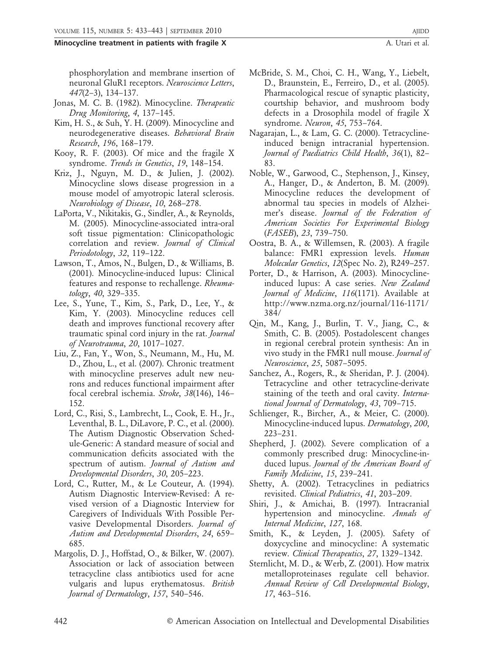#### **Minocycline treatment in patients with fragile X** and the second value of the M. Utari et al.

phosphorylation and membrane insertion of neuronal GluR1 receptors. Neuroscience Letters, 447(2–3), 134–137.

- Jonas, M. C. B. (1982). Minocycline. Therapeutic Drug Monitoring, 4, 137–145.
- Kim, H. S., & Suh, Y. H. (2009). Minocycline and neurodegenerative diseases. Behavioral Brain Research, 196, 168–179.
- Kooy, R. F. (2003). Of mice and the fragile X syndrome. Trends in Genetics, 19, 148–154.
- Kriz, J., Nguyn, M. D., & Julien, J. (2002). Minocycline slows disease progression in a mouse model of amyotropic lateral sclerosis. Neurobiology of Disease, 10, 268–278.
- LaPorta, V., Nikitakis, G., Sindler, A., & Reynolds, M. (2005). Minocycline-associated intra-oral soft tissue pigmentation: Clinicopathologic correlation and review. Journal of Clinical Periodotology, 32, 119–122.
- Lawson, T., Amos, N., Bulgen, D., & Williams, B. (2001). Minocycline-induced lupus: Clinical features and response to rechallenge. Rheumatology, 40, 329–335.
- Lee, S., Yune, T., Kim, S., Park, D., Lee, Y., & Kim, Y. (2003). Minocycline reduces cell death and improves functional recovery after traumatic spinal cord injury in the rat. *Journal* of Neurotrauma, 20, 1017–1027.
- Liu, Z., Fan, Y., Won, S., Neumann, M., Hu, M. D., Zhou, L., et al. (2007). Chronic treatment with minocycline preserves adult new neurons and reduces functional impairment after focal cerebral ischemia. Stroke, 38(146), 146– 152.
- Lord, C., Risi, S., Lambrecht, L., Cook, E. H., Jr., Leventhal, B. L., DiLavore, P. C., et al. (2000). The Autism Diagnostic Observation Schedule-Generic: A standard measure of social and communication deficits associated with the spectrum of autism. Journal of Autism and Developmental Disorders, 30, 205–223.
- Lord, C., Rutter, M., & Le Couteur, A. (1994). Autism Diagnostic Interview-Revised: A revised version of a Diagnostic Interview for Caregivers of Individuals With Possible Pervasive Developmental Disorders. Journal of Autism and Developmental Disorders, 24, 659– 685.
- Margolis, D. J., Hoffstad, O., & Bilker, W. (2007). Association or lack of association between tetracycline class antibiotics used for acne vulgaris and lupus erythematosus. British Journal of Dermatology, 157, 540–546.
- McBride, S. M., Choi, C. H., Wang, Y., Liebelt, D., Braunstein, E., Ferreiro, D., et al. (2005). Pharmacological rescue of synaptic plasticity, courtship behavior, and mushroom body defects in a Drosophila model of fragile X syndrome. Neuron, 45, 753–764.
- Nagarajan, L., & Lam, G. C. (2000). Tetracyclineinduced benign intracranial hypertension. Journal of Paediatrics Child Health, 36(1), 82– 83.
- Noble, W., Garwood, C., Stephenson, J., Kinsey, A., Hanger, D., & Anderton, B. M. (2009). Minocycline reduces the development of abnormal tau species in models of Alzheimer's disease. Journal of the Federation of American Societies For Experimental Biology (FASEB), 23, 739–750.
- Oostra, B. A., & Willemsen, R. (2003). A fragile balance: FMR1 expression levels. *Human* Molecular Genetics, 12(Spec No. 2), R249–257.
- Porter, D., & Harrison, A. (2003). Minocyclineinduced lupus: A case series. New Zealand Journal of Medicine, 116(1171). Available at http://www.nzma.org.nz/journal/116-1171/ 384/
- Qin, M., Kang, J., Burlin, T. V., Jiang, C., & Smith, C. B. (2005). Postadolescent changes in regional cerebral protein synthesis: An in vivo study in the FMR1 null mouse. Journal of Neuroscience, 25, 5087–5095.
- Sanchez, A., Rogers, R., & Sheridan, P. J. (2004). Tetracycline and other tetracycline-derivate staining of the teeth and oral cavity. *Interna*tional Journal of Dermatology, 43, 709–715.
- Schlienger, R., Bircher, A., & Meier, C. (2000). Minocycline-induced lupus. Dermatology, 200, 223–231.
- Shepherd, J. (2002). Severe complication of a commonly prescribed drug: Minocycline-induced lupus. Journal of the American Board of Family Medicine, 15, 239–241.
- Shetty, A. (2002). Tetracyclines in pediatrics revisited. Clinical Pediatrics, 41, 203–209.
- Shiri, J., & Amichai, B. (1997). Intracranial hypertension and minocycline. Annals of Internal Medicine, 127, 168.
- Smith, K., & Leyden, J. (2005). Safety of doxycycline and minocycline: A systematic review. Clinical Therapeutics, 27, 1329–1342.
- Sternlicht, M. D., & Werb, Z. (2001). How matrix metalloproteinases regulate cell behavior. Annual Review of Cell Developmental Biology, 17, 463–516.